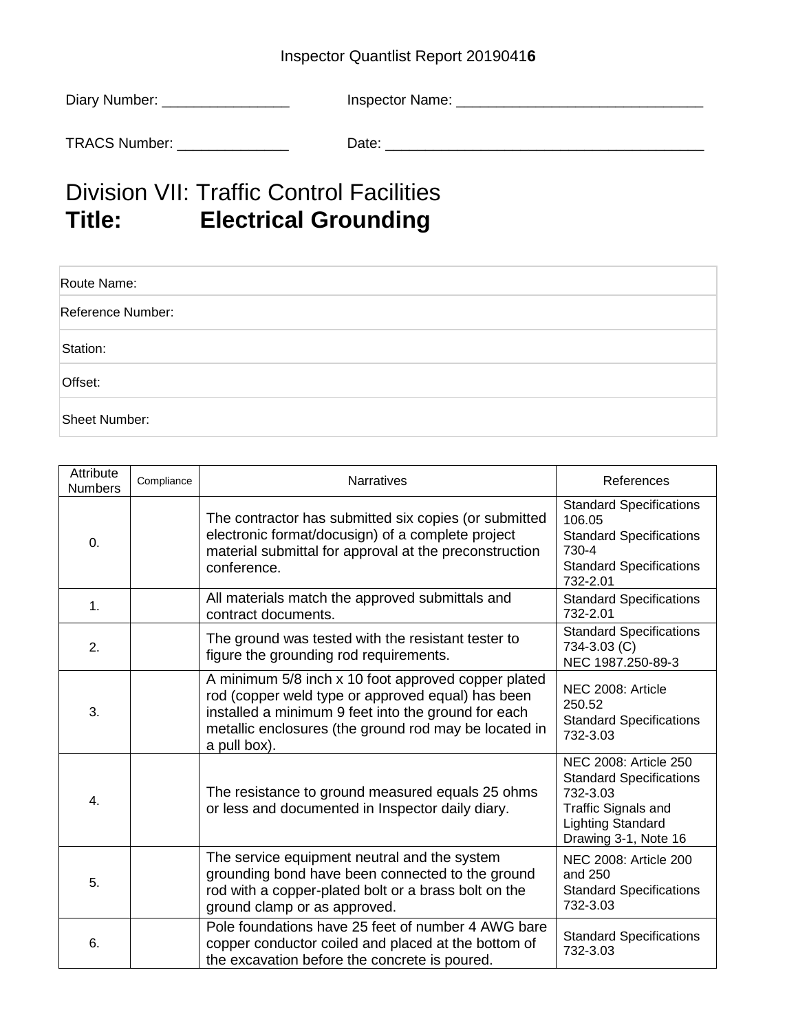## Inspector Quantlist Report 2019041**6**

| Diary Number: | Inspector Name: |
|---------------|-----------------|
|               |                 |
| TRACS Number: | Date:           |

## **Division VII: Traffic Control Facilities<br>Title: Electrical Grounding Electrical Grounding**

| Route Name:       |  |
|-------------------|--|
| Reference Number: |  |
| Station:          |  |
| Offset:           |  |
| Sheet Number:     |  |

| Attribute<br><b>Numbers</b> | Compliance | <b>Narratives</b>                                                                                                                                                                                                                        | References                                                                                                                                     |
|-----------------------------|------------|------------------------------------------------------------------------------------------------------------------------------------------------------------------------------------------------------------------------------------------|------------------------------------------------------------------------------------------------------------------------------------------------|
| 0.                          |            | The contractor has submitted six copies (or submitted<br>electronic format/docusign) of a complete project<br>material submittal for approval at the preconstruction<br>conference.                                                      | <b>Standard Specifications</b><br>106.05<br><b>Standard Specifications</b><br>730-4<br><b>Standard Specifications</b><br>732-2.01              |
| 1.                          |            | All materials match the approved submittals and<br>contract documents.                                                                                                                                                                   | <b>Standard Specifications</b><br>732-2.01                                                                                                     |
| 2.                          |            | The ground was tested with the resistant tester to<br>figure the grounding rod requirements.                                                                                                                                             | <b>Standard Specifications</b><br>734-3.03 (C)<br>NEC 1987.250-89-3                                                                            |
| 3.                          |            | A minimum 5/8 inch x 10 foot approved copper plated<br>rod (copper weld type or approved equal) has been<br>installed a minimum 9 feet into the ground for each<br>metallic enclosures (the ground rod may be located in<br>a pull box). | NEC 2008: Article<br>250.52<br><b>Standard Specifications</b><br>732-3.03                                                                      |
| 4.                          |            | The resistance to ground measured equals 25 ohms<br>or less and documented in Inspector daily diary.                                                                                                                                     | NEC 2008: Article 250<br><b>Standard Specifications</b><br>732-3.03<br>Traffic Signals and<br><b>Lighting Standard</b><br>Drawing 3-1, Note 16 |
| 5.                          |            | The service equipment neutral and the system<br>grounding bond have been connected to the ground<br>rod with a copper-plated bolt or a brass bolt on the<br>ground clamp or as approved.                                                 | NEC 2008: Article 200<br>and 250<br><b>Standard Specifications</b><br>732-3.03                                                                 |
| 6.                          |            | Pole foundations have 25 feet of number 4 AWG bare<br>copper conductor coiled and placed at the bottom of<br>the excavation before the concrete is poured.                                                                               | <b>Standard Specifications</b><br>732-3.03                                                                                                     |